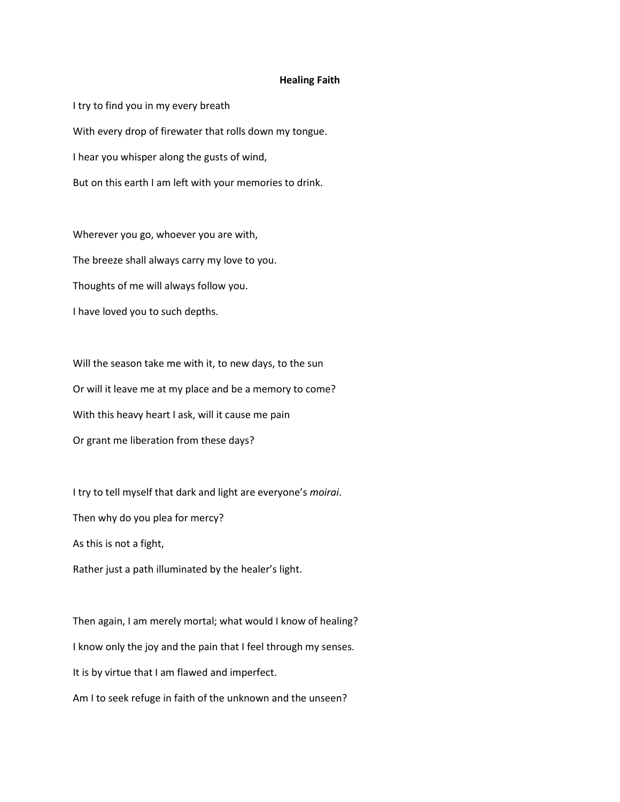## **Healing Faith**

I try to find you in my every breath With every drop of firewater that rolls down my tongue. I hear you whisper along the gusts of wind, But on this earth I am left with your memories to drink.

Wherever you go, whoever you are with, The breeze shall always carry my love to you. Thoughts of me will always follow you. I have loved you to such depths.

Will the season take me with it, to new days, to the sun Or will it leave me at my place and be a memory to come? With this heavy heart I ask, will it cause me pain Or grant me liberation from these days?

I try to tell myself that dark and light are everyone's *moirai*. Then why do you plea for mercy? As this is not a fight,

Rather just a path illuminated by the healer's light.

Then again, I am merely mortal; what would I know of healing? I know only the joy and the pain that I feel through my senses. It is by virtue that I am flawed and imperfect. Am I to seek refuge in faith of the unknown and the unseen?